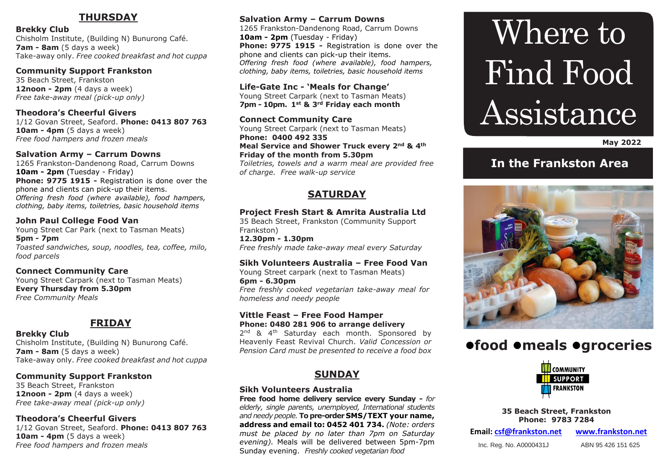# **THURSDAY**

**Brekky Club**  Chisholm Institute, (Building N) Bunurong Café. **7am - 8am** (5 days a week) Take-away only. *Free cooked breakfast and hot cuppa*

#### **Community Support Frankston**

35 Beach Street, Frankston **12noon - 2pm** (4 days a week) *Free take-away meal (pick-up only)*

**Theodora's Cheerful Givers** 1/12 Govan Street, Seaford. **Phone: 0413 807 763 10am - 4pm** (5 days a week) *Free food hampers and frozen meals* 

### **Salvation Army – Carrum Downs**

1265 Frankston-Dandenong Road, Carrum Downs **10am - 2pm** (Tuesday - Friday) **Phone: 9775 1915 -** Registration is done over the phone and clients can pick-up their items. *Offering fresh food (where available), food hampers, clothing, baby items, toiletries, basic household items*

**John Paul College Food Van** Young Street Car Park (next to Tasman Meats) **5pm - 7pm** *Toasted sandwiches, soup, noodles, tea, coffee, milo, food parcels*

**Connect Community Care** Young Street Carpark (next to Tasman Meats) **Every Thursday from 5.30pm** *Free Community Meals*

# **FRIDAY**

**Brekky Club**  Chisholm Institute, (Building N) Bunurong Café. **7am - 8am** (5 days a week) Take-away only. *Free cooked breakfast and hot cuppa*

# **Community Support Frankston**

35 Beach Street, Frankston **12noon - 2pm** (4 days a week) *Free take-away meal (pick-up only)*

# **Theodora's Cheerful Givers**

1/12 Govan Street, Seaford. **Phone: 0413 807 763 10am - 4pm** (5 days a week) *Free food hampers and frozen meals*

# **Salvation Army – Carrum Downs**

1265 Frankston-Dandenong Road, Carrum Downs **10am - 2pm** (Tuesday - Friday) **Phone: 9775 1915 -** Registration is done over the phone and clients can pick-up their items. *Offering fresh food (where available), food hampers, clothing, baby items, toiletries, basic household items*

**Life-Gate Inc - 'Meals for Change'** Young Street Carpark (next to Tasman Meats) **7pm - 10pm. 1st & 3rd Friday each month**

**Connect Community Care** Young Street Carpark (next to Tasman Meats) **Phone: 0400 492 335 Meal Service and Shower Truck every 2nd & 4th Friday of the month from 5.30pm** *Toiletries, towels and a warm meal are provided free of charge. Free walk-up service*

# **SATURDAY**

# **Project Fresh Start & Amrita Australia Ltd**

35 Beach Street, Frankston (Community Support Frankston)

**12.30pm - 1.30pm** *Free freshly made take-away meal every Saturday*

# **Sikh Volunteers Australia – Free Food Van**

Young Street carpark (next to Tasman Meats) **6pm - 6.30pm** *Free freshly cooked vegetarian take-away meal for homeless and needy people*

#### **Vittle Feast – Free Food Hamper Phone: 0480 281 906 to arrange delivery**

2<sup>nd</sup> & 4<sup>th</sup> Saturday each month. Sponsored by Heavenly Feast Revival Church. *Valid Concession or Pension Card must be presented to receive a food box*

# **SUNDAY**

# **Sikh Volunteers Australia**

**Free food home delivery service every Sunday -** *for elderly, single parents, unemployed, International students and needy people.* **To pre-order SMS/TEXT your name, address and email to: 0452 401 734.** *(Note: orders must be placed by no later than 7pm on Saturday evening).* Meals will be delivered between 5pm-7pm Sunday evening. *Freshly cooked vegetarian food*

# Where to Find Food Assistance

 **May 2022**

# **In the Frankston Area**



# **food meals groceries**



**35 Beach Street, Frankston Phone: 9783 7284**

**Email: [csf@frankston.net](mailto:csf@frankston.net) [www.frankston.net](http://www.frankston.net/)**

Inc. Reg. No. A0000431J ABN 95 426 151 625